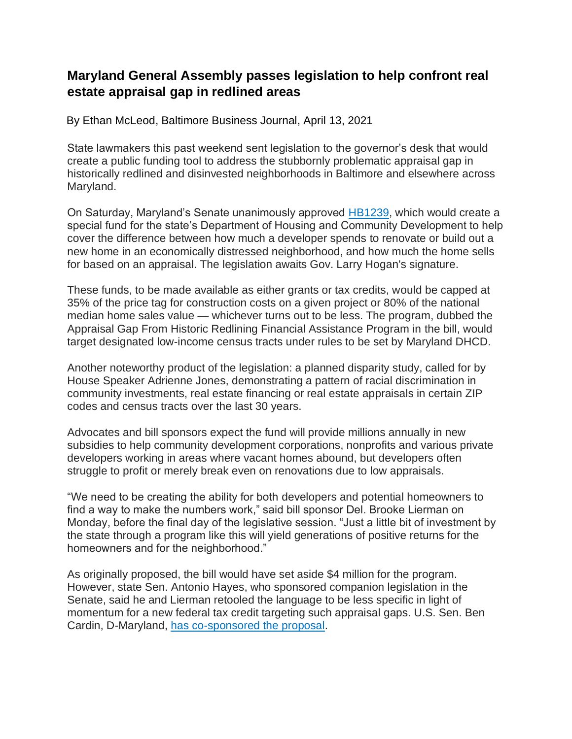## **Maryland General Assembly passes legislation to help confront real estate appraisal gap in redlined areas**

By Ethan McLeod, Baltimore Business Journal, April 13, 2021

State lawmakers this past weekend sent legislation to the governor's desk that would create a public funding tool to address the stubbornly problematic appraisal gap in historically redlined and disinvested neighborhoods in Baltimore and elsewhere across Maryland.

On Saturday, Maryland's Senate unanimously approved [HB1239,](http://mgaleg.maryland.gov/mgawebsite/Legislation/Details/HB1239?ys=2021RS) which would create a special fund for the state's Department of Housing and Community Development to help cover the difference between how much a developer spends to renovate or build out a new home in an economically distressed neighborhood, and how much the home sells for based on an appraisal. The legislation awaits Gov. Larry Hogan's signature.

These funds, to be made available as either grants or tax credits, would be capped at 35% of the price tag for construction costs on a given project or 80% of the national median home sales value — whichever turns out to be less. The program, dubbed the Appraisal Gap From Historic Redlining Financial Assistance Program in the bill, would target designated low-income census tracts under rules to be set by Maryland DHCD.

Another noteworthy product of the legislation: a planned disparity study, called for by House Speaker Adrienne Jones, demonstrating a pattern of racial discrimination in community investments, real estate financing or real estate appraisals in certain ZIP codes and census tracts over the last 30 years.

Advocates and bill sponsors expect the fund will provide millions annually in new subsidies to help community development corporations, nonprofits and various private developers working in areas where vacant homes abound, but developers often struggle to profit or merely break even on renovations due to low appraisals.

"We need to be creating the ability for both developers and potential homeowners to find a way to make the numbers work," said bill sponsor Del. Brooke Lierman on Monday, before the final day of the legislative session. "Just a little bit of investment by the state through a program like this will yield generations of positive returns for the homeowners and for the neighborhood."

As originally proposed, the bill would have set aside \$4 million for the program. However, state Sen. Antonio Hayes, who sponsored companion legislation in the Senate, said he and Lierman retooled the language to be less specific in light of momentum for a new federal tax credit targeting such appraisal gaps. U.S. Sen. Ben Cardin, D-Maryland, [has co-sponsored the proposal.](https://www.cardin.senate.gov/newsroom/press/release/housing-advocates-laud-cardin-portman-neighborhood-homes-investment-act)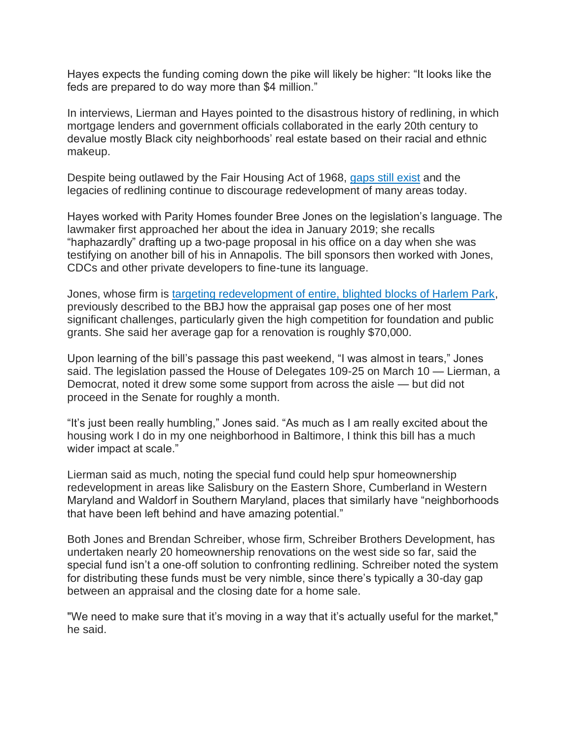Hayes expects the funding coming down the pike will likely be higher: "It looks like the feds are prepared to do way more than \$4 million."

In interviews, Lierman and Hayes pointed to the disastrous history of redlining, in which mortgage lenders and government officials collaborated in the early 20th century to devalue mostly Black city neighborhoods' real estate based on their racial and ethnic makeup.

Despite being outlawed by the Fair Housing Act of 1968, [gaps still exist](https://www.bizjournals.com/baltimore/news/2018/11/30/racial-disparity-in-lending-by-banks-still-exists.html) and the legacies of redlining continue to discourage redevelopment of many areas today.

Hayes worked with Parity Homes founder Bree Jones on the legislation's language. The lawmaker first approached her about the idea in January 2019; she recalls "haphazardly" drafting up a two-page proposal in his office on a day when she was testifying on another bill of his in Annapolis. The bill sponsors then worked with Jones, CDCs and other private developers to fine-tune its language.

Jones, whose firm is [targeting redevelopment of entire, blighted blocks of Harlem Park,](https://www.bizjournals.com/baltimore/news/2021/03/22/west-baltimore-black-women-developer-tackle-blight.html) previously described to the BBJ how the appraisal gap poses one of her most significant challenges, particularly given the high competition for foundation and public grants. She said her average gap for a renovation is roughly \$70,000.

Upon learning of the bill's passage this past weekend, "I was almost in tears," Jones said. The legislation passed the House of Delegates 109-25 on March 10 — Lierman, a Democrat, noted it drew some some support from across the aisle — but did not proceed in the Senate for roughly a month.

"It's just been really humbling," Jones said. "As much as I am really excited about the housing work I do in my one neighborhood in Baltimore, I think this bill has a much wider impact at scale."

Lierman said as much, noting the special fund could help spur homeownership redevelopment in areas like Salisbury on the Eastern Shore, Cumberland in Western Maryland and Waldorf in Southern Maryland, places that similarly have "neighborhoods that have been left behind and have amazing potential."

Both Jones and Brendan Schreiber, whose firm, Schreiber Brothers Development, has undertaken nearly 20 homeownership renovations on the west side so far, said the special fund isn't a one-off solution to confronting redlining. Schreiber noted the system for distributing these funds must be very nimble, since there's typically a 30-day gap between an appraisal and the closing date for a home sale.

"We need to make sure that it's moving in a way that it's actually useful for the market," he said.